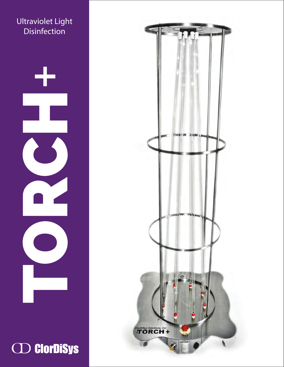



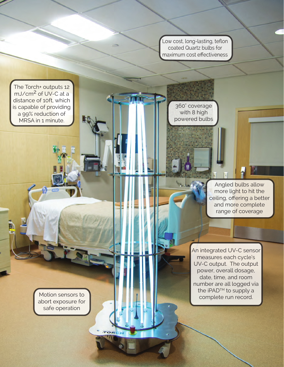Low cost, long-lasting, teflon coated Quartz bulbs for maximum cost effectiveness

The Torch+ outputs 12 mJ/cm2 of UV-C at a distance of 10ft, which is capable of providing a 99% reduction of MRSA in 1 minute.

360° coverage with 8 high powered bulbs

MA AL

Angled bulbs allow more light to hit the ceiling, offering a better and more complete range of coverage

An integrated UV-C sensor measures each cycle's UV-C output. The output power, overall dosage, date, time, and room number are all logged via the iPAD<sup>™</sup> to supply a complete run record.

Motion sensors to abort exposure for safe operation

TO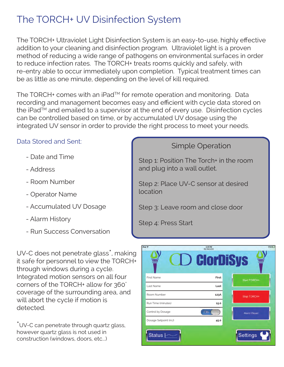### The TORCH+ UV Disinfection System

The TORCH+ Ultraviolet Light Disinfection System is an easy-to-use, highly effective addition to your cleaning and disinfection program. Ultraviolet light is a proven method of reducing a wide range of pathogens on environmental surfaces in order to reduce infection rates. The TORCH+ treats rooms quickly and safely, with re-entry able to occur immediately upon completion. Typical treatment times can be as little as one minute, depending on the level of kill required.

The TORCH<sup>+</sup> comes with an iPad<sup>™</sup> for remote operation and monitoring. Data recording and management becomes easy and efficient with cycle data stored on the iPad<sup>TM</sup> and emailed to a supervisor at the end of every use. Disinfection cycles can be controlled based on time, or by accumulated UV dosage using the integrated UV sensor in order to provide the right process to meet your needs.

#### Data Stored and Sent:

- Date and Time
- Address
- Room Number
- Operator Name
- Accumulated UV Dosage
- Alarm History
- Run Success Conversation

UV-C does not penetrate glass<sup>\*</sup>, making it safe for personnel to view the TORCH+ through windows during a cycle. Integrated motion sensors on all four corners of the TORCH+ allow for 360˚ coverage of the surrounding area, and will abort the cycle if motion is detected.

\*UV-C can penetrate through quartz glass, however quartz glass is not used in construction (windows, doors, etc...)

#### Simple Operation

Step 1: Position The Torch+ in the room and plug into a wall outlet.

Step 2: Place UV-C sensor at desired location

Step 3: Leave room and close door

Step 4: Press Start

| iPad <sub>P</sub><br>2:41 PM<br>17%<br>192 168 0.202<br>$\mathbf D$ Clordisys |              |                    |
|-------------------------------------------------------------------------------|--------------|--------------------|
| First Name                                                                    | <b>First</b> | Start TORCH+       |
| Last Name                                                                     | Last         |                    |
| Room Number                                                                   | 123A         | Stop TORCH+        |
| Run Time (minutes)                                                            | 15.0         |                    |
| Control by Dosage                                                             | ON           | <b>Alarm Reset</b> |
| Dosage Setpoint (mJ)                                                          | 45.0         |                    |
| Status $\sim$                                                                 |              | Settings           |